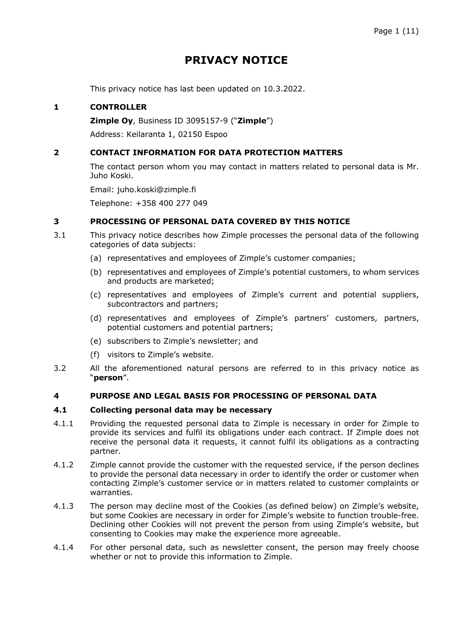# **PRIVACY NOTICE**

This privacy notice has last been updated on 10.3.2022.

# **1 CONTROLLER**

**Zimple Oy**, Business ID 3095157-9 ("**Zimple**")

Address: Keilaranta 1, 02150 Espoo

# **2 CONTACT INFORMATION FOR DATA PROTECTION MATTERS**

The contact person whom you may contact in matters related to personal data is Mr. Juho Koski.

Email: juho.koski@zimple.fi

Telephone: +358 400 277 049

### **3 PROCESSING OF PERSONAL DATA COVERED BY THIS NOTICE**

- 3.1 This privacy notice describes how Zimple processes the personal data of the following categories of data subjects:
	- (a) representatives and employees of Zimple's customer companies;
	- (b) representatives and employees of Zimple's potential customers, to whom services and products are marketed;
	- (c) representatives and employees of Zimple's current and potential suppliers, subcontractors and partners;
	- (d) representatives and employees of Zimple's partners' customers, partners, potential customers and potential partners;
	- (e) subscribers to Zimple's newsletter; and
	- (f) visitors to Zimple's website.
- 3.2 All the aforementioned natural persons are referred to in this privacy notice as "**person**".

# **4 PURPOSE AND LEGAL BASIS FOR PROCESSING OF PERSONAL DATA**

#### **4.1 Collecting personal data may be necessary**

- 4.1.1 Providing the requested personal data to Zimple is necessary in order for Zimple to provide its services and fulfil its obligations under each contract. If Zimple does not receive the personal data it requests, it cannot fulfil its obligations as a contracting partner.
- 4.1.2 Zimple cannot provide the customer with the requested service, if the person declines to provide the personal data necessary in order to identify the order or customer when contacting Zimple's customer service or in matters related to customer complaints or warranties.
- 4.1.3 The person may decline most of the Cookies (as defined below) on Zimple's website, but some Cookies are necessary in order for Zimple's website to function trouble-free. Declining other Cookies will not prevent the person from using Zimple's website, but consenting to Cookies may make the experience more agreeable.
- 4.1.4 For other personal data, such as newsletter consent, the person may freely choose whether or not to provide this information to Zimple.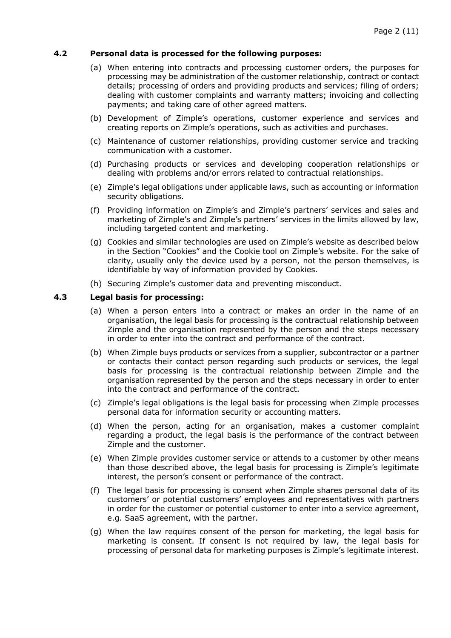# **4.2 Personal data is processed for the following purposes:**

- (a) When entering into contracts and processing customer orders, the purposes for processing may be administration of the customer relationship, contract or contact details; processing of orders and providing products and services; filing of orders; dealing with customer complaints and warranty matters; invoicing and collecting payments; and taking care of other agreed matters.
- (b) Development of Zimple's operations, customer experience and services and creating reports on Zimple's operations, such as activities and purchases.
- (c) Maintenance of customer relationships, providing customer service and tracking communication with a customer.
- (d) Purchasing products or services and developing cooperation relationships or dealing with problems and/or errors related to contractual relationships.
- (e) Zimple's legal obligations under applicable laws, such as accounting or information security obligations.
- (f) Providing information on Zimple's and Zimple's partners' services and sales and marketing of Zimple's and Zimple's partners' services in the limits allowed by law, including targeted content and marketing.
- (g) Cookies and similar technologies are used on Zimple's website as described below in the Section "Cookies" and the Cookie tool on Zimple's website. For the sake of clarity, usually only the device used by a person, not the person themselves, is identifiable by way of information provided by Cookies.
- (h) Securing Zimple's customer data and preventing misconduct.

#### **4.3 Legal basis for processing:**

- (a) When a person enters into a contract or makes an order in the name of an organisation, the legal basis for processing is the contractual relationship between Zimple and the organisation represented by the person and the steps necessary in order to enter into the contract and performance of the contract.
- (b) When Zimple buys products or services from a supplier, subcontractor or a partner or contacts their contact person regarding such products or services, the legal basis for processing is the contractual relationship between Zimple and the organisation represented by the person and the steps necessary in order to enter into the contract and performance of the contract.
- (c) Zimple's legal obligations is the legal basis for processing when Zimple processes personal data for information security or accounting matters.
- (d) When the person, acting for an organisation, makes a customer complaint regarding a product, the legal basis is the performance of the contract between Zimple and the customer.
- (e) When Zimple provides customer service or attends to a customer by other means than those described above, the legal basis for processing is Zimple's legitimate interest, the person's consent or performance of the contract.
- (f) The legal basis for processing is consent when Zimple shares personal data of its customers' or potential customers' employees and representatives with partners in order for the customer or potential customer to enter into a service agreement, e.g. SaaS agreement, with the partner.
- (g) When the law requires consent of the person for marketing, the legal basis for marketing is consent. If consent is not required by law, the legal basis for processing of personal data for marketing purposes is Zimple's legitimate interest.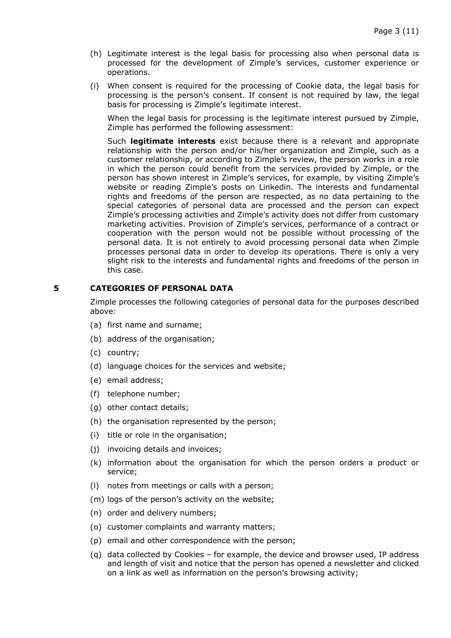- (h) Legitimate interest is the legal basis for processing also when personal data is processed for the development of Zimple's services, customer experience or operations.
- (i) When consent is required for the processing of Cookie data, the legal basis for processing is the person's consent. If consent is not required by law, the legal basis for processing is Zimple's legitimate interest.

When the legal basis for processing is the legitimate interest pursued by Zimple, Zimple has performed the following assessment:

Such **legitimate interests** exist because there is a relevant and appropriate relationship with the person and/or his/her organization and Zimple, such as a customer relationship, or according to Zimple's review, the person works in a role in which the person could benefit from the services provided by Zimple, or the person has shown interest in Zimple's services, for example, by visiting Zimple's website or reading Zimple's posts on Linkedin. The interests and fundamental rights and freedoms of the person are respected, as no data pertaining to the special categories of personal data are processed and the person can expect Zimple's processing activities and Zimple's activity does not differ from customary marketing activities. Provision of Zimple's services, performance of a contract or cooperation with the person would not be possible without processing of the personal data. It is not entirely to avoid processing personal data when Zimple processes personal data in order to develop its operations. There is only a very slight risk to the interests and fundamental rights and freedoms of the person in this case.

#### **5 CATEGORIES OF PERSONAL DATA**

Zimple processes the following categories of personal data for the purposes described above:

- (a) first name and surname;
- (b) address of the organisation;
- (c) country;
- (d) language choices for the services and website;
- (e) email address;
- (f) telephone number;
- (g) other contact details;
- (h) the organisation represented by the person;
- (i) title or role in the organisation;
- (j) invoicing details and invoices;
- (k) information about the organisation for which the person orders a product or service;
- (l) notes from meetings or calls with a person;
- (m) logs of the person's activity on the website;
- (n) order and delivery numbers;
- (o) customer complaints and warranty matters;
- (p) email and other correspondence with the person;
- (q) data collected by Cookies for example, the device and browser used, IP address and length of visit and notice that the person has opened a newsletter and clicked on a link as well as information on the person's browsing activity;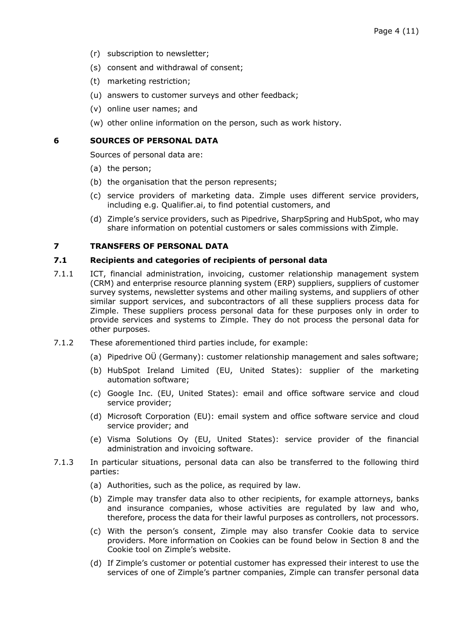- (r) subscription to newsletter;
- (s) consent and withdrawal of consent;
- (t) marketing restriction;
- (u) answers to customer surveys and other feedback;
- (v) online user names; and
- (w) other online information on the person, such as work history.

#### **6 SOURCES OF PERSONAL DATA**

Sources of personal data are:

- (a) the person;
- (b) the organisation that the person represents;
- (c) service providers of marketing data. Zimple uses different service providers, including e.g. Qualifier.ai, to find potential customers, and
- (d) Zimple's service providers, such as Pipedrive, SharpSpring and HubSpot, who may share information on potential customers or sales commissions with Zimple.

# **7 TRANSFERS OF PERSONAL DATA**

#### **7.1 Recipients and categories of recipients of personal data**

- 7.1.1 ICT, financial administration, invoicing, customer relationship management system (CRM) and enterprise resource planning system (ERP) suppliers, suppliers of customer survey systems, newsletter systems and other mailing systems, and suppliers of other similar support services, and subcontractors of all these suppliers process data for Zimple. These suppliers process personal data for these purposes only in order to provide services and systems to Zimple. They do not process the personal data for other purposes.
- 7.1.2 These aforementioned third parties include, for example:
	- (a) Pipedrive OÜ (Germany): customer relationship management and sales software;
	- (b) HubSpot Ireland Limited (EU, United States): supplier of the marketing automation software;
	- (c) Google Inc. (EU, United States): email and office software service and cloud service provider;
	- (d) Microsoft Corporation (EU): email system and office software service and cloud service provider; and
	- (e) Visma Solutions Oy (EU, United States): service provider of the financial administration and invoicing software.
- 7.1.3 In particular situations, personal data can also be transferred to the following third parties:
	- (a) Authorities, such as the police, as required by law.
	- (b) Zimple may transfer data also to other recipients, for example attorneys, banks and insurance companies, whose activities are regulated by law and who, therefore, process the data for their lawful purposes as controllers, not processors.
	- (c) With the person's consent, Zimple may also transfer Cookie data to service providers. More information on Cookies can be found below in Section 8 and the Cookie tool on Zimple's website.
	- (d) If Zimple's customer or potential customer has expressed their interest to use the services of one of Zimple's partner companies, Zimple can transfer personal data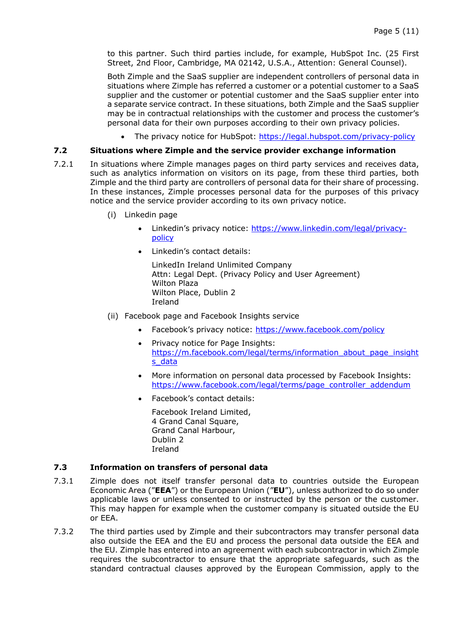to this partner. Such third parties include, for example, HubSpot Inc. (25 First Street, 2nd Floor, Cambridge, MA 02142, U.S.A., Attention: General Counsel).

Both Zimple and the SaaS supplier are independent controllers of personal data in situations where Zimple has referred a customer or a potential customer to a SaaS supplier and the customer or potential customer and the SaaS supplier enter into a separate service contract. In these situations, both Zimple and the SaaS supplier may be in contractual relationships with the customer and process the customer's personal data for their own purposes according to their own privacy policies.

• The privacy notice for HubSpot: https://legal.hubspot.com/privacy-policy

# **7.2 Situations where Zimple and the service provider exchange information**

- 7.2.1 In situations where Zimple manages pages on third party services and receives data, such as analytics information on visitors on its page, from these third parties, both Zimple and the third party are controllers of personal data for their share of processing. In these instances, Zimple processes personal data for the purposes of this privacy notice and the service provider according to its own privacy notice.
	- (i) Linkedin page
		- Linkedin's privacy notice: https://www.linkedin.com/legal/privacypolicy
		- Linkedin's contact details:

LinkedIn Ireland Unlimited Company Attn: Legal Dept. (Privacy Policy and User Agreement) Wilton Plaza Wilton Place, Dublin 2 Ireland

- (ii) Facebook page and Facebook Insights service
	- Facebook's privacy notice: https://www.facebook.com/policy
	- Privacy notice for Page Insights: https://m.facebook.com/legal/terms/information\_about\_page\_insight s\_data
	- More information on personal data processed by Facebook Insights: https://www.facebook.com/legal/terms/page\_controller\_addendum
	- Facebook's contact details:

Facebook Ireland Limited, 4 Grand Canal Square, Grand Canal Harbour, Dublin 2 Ireland

#### **7.3 Information on transfers of personal data**

- 7.3.1 Zimple does not itself transfer personal data to countries outside the European Economic Area ("**EEA**") or the European Union ("**EU**"), unless authorized to do so under applicable laws or unless consented to or instructed by the person or the customer. This may happen for example when the customer company is situated outside the EU or EEA.
- 7.3.2 The third parties used by Zimple and their subcontractors may transfer personal data also outside the EEA and the EU and process the personal data outside the EEA and the EU. Zimple has entered into an agreement with each subcontractor in which Zimple requires the subcontractor to ensure that the appropriate safeguards, such as the standard contractual clauses approved by the European Commission, apply to the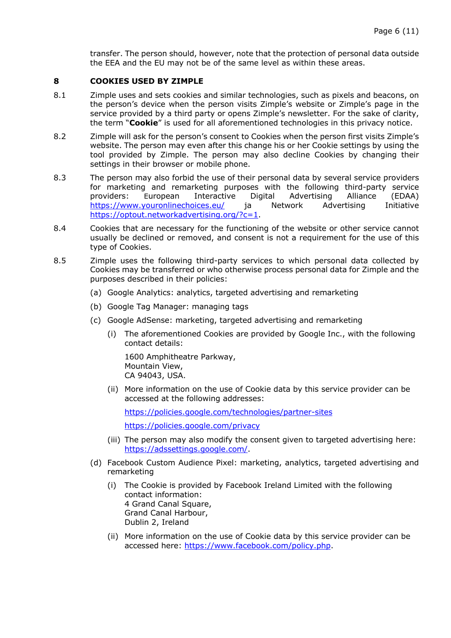transfer. The person should, however, note that the protection of personal data outside the EEA and the EU may not be of the same level as within these areas.

#### **8 COOKIES USED BY ZIMPLE**

- 8.1 Zimple uses and sets cookies and similar technologies, such as pixels and beacons, on the person's device when the person visits Zimple's website or Zimple's page in the service provided by a third party or opens Zimple's newsletter. For the sake of clarity, the term "**Cookie**" is used for all aforementioned technologies in this privacy notice.
- 8.2 Zimple will ask for the person's consent to Cookies when the person first visits Zimple's website. The person may even after this change his or her Cookie settings by using the tool provided by Zimple. The person may also decline Cookies by changing their settings in their browser or mobile phone.
- 8.3 The person may also forbid the use of their personal data by several service providers for marketing and remarketing purposes with the following third-party service providers: European Interactive Digital Advertising Alliance (EDAA) https://www.youronlinechoices.eu/ ja Network Advertising Initiative https://optout.networkadvertising.org/?c=1.
- 8.4 Cookies that are necessary for the functioning of the website or other service cannot usually be declined or removed, and consent is not a requirement for the use of this type of Cookies.
- 8.5 Zimple uses the following third-party services to which personal data collected by Cookies may be transferred or who otherwise process personal data for Zimple and the purposes described in their policies:
	- (a) Google Analytics: analytics, targeted advertising and remarketing
	- (b) Google Tag Manager: managing tags
	- (c) Google AdSense: marketing, targeted advertising and remarketing
		- (i) The aforementioned Cookies are provided by Google Inc., with the following contact details:

1600 Amphitheatre Parkway, Mountain View, CA 94043, USA.

(ii) More information on the use of Cookie data by this service provider can be accessed at the following addresses:

https://policies.google.com/technologies/partner-sites https://policies.google.com/privacy

- (iii) The person may also modify the consent given to targeted advertising here: https://adssettings.google.com/.
- (d) Facebook Custom Audience Pixel: marketing, analytics, targeted advertising and remarketing
	- (i) The Cookie is provided by Facebook Ireland Limited with the following contact information: 4 Grand Canal Square, Grand Canal Harbour, Dublin 2, Ireland
	- (ii) More information on the use of Cookie data by this service provider can be accessed here: https://www.facebook.com/policy.php.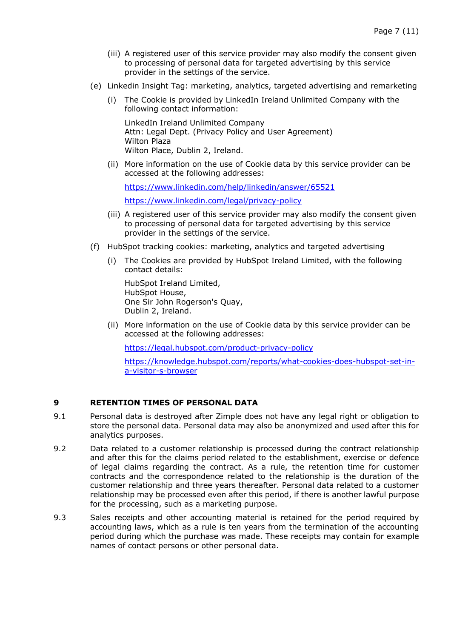- (iii) A registered user of this service provider may also modify the consent given to processing of personal data for targeted advertising by this service provider in the settings of the service.
- (e) Linkedin Insight Tag: marketing, analytics, targeted advertising and remarketing
	- (i) The Cookie is provided by LinkedIn Ireland Unlimited Company with the following contact information:

LinkedIn Ireland Unlimited Company Attn: Legal Dept. (Privacy Policy and User Agreement) Wilton Plaza Wilton Place, Dublin 2, Ireland.

(ii) More information on the use of Cookie data by this service provider can be accessed at the following addresses:

https://www.linkedin.com/help/linkedin/answer/65521

https://www.linkedin.com/legal/privacy-policy

- (iii) A registered user of this service provider may also modify the consent given to processing of personal data for targeted advertising by this service provider in the settings of the service.
- (f) HubSpot tracking cookies: marketing, analytics and targeted advertising
	- (i) The Cookies are provided by HubSpot Ireland Limited, with the following contact details:

HubSpot Ireland Limited, HubSpot House, One Sir John Rogerson's Quay, Dublin 2, Ireland.

(ii) More information on the use of Cookie data by this service provider can be accessed at the following addresses:

https://legal.hubspot.com/product-privacy-policy

https://knowledge.hubspot.com/reports/what-cookies-does-hubspot-set-ina-visitor-s-browser

# **9 RETENTION TIMES OF PERSONAL DATA**

- 9.1 Personal data is destroyed after Zimple does not have any legal right or obligation to store the personal data. Personal data may also be anonymized and used after this for analytics purposes.
- 9.2 Data related to a customer relationship is processed during the contract relationship and after this for the claims period related to the establishment, exercise or defence of legal claims regarding the contract. As a rule, the retention time for customer contracts and the correspondence related to the relationship is the duration of the customer relationship and three years thereafter. Personal data related to a customer relationship may be processed even after this period, if there is another lawful purpose for the processing, such as a marketing purpose.
- 9.3 Sales receipts and other accounting material is retained for the period required by accounting laws, which as a rule is ten years from the termination of the accounting period during which the purchase was made. These receipts may contain for example names of contact persons or other personal data.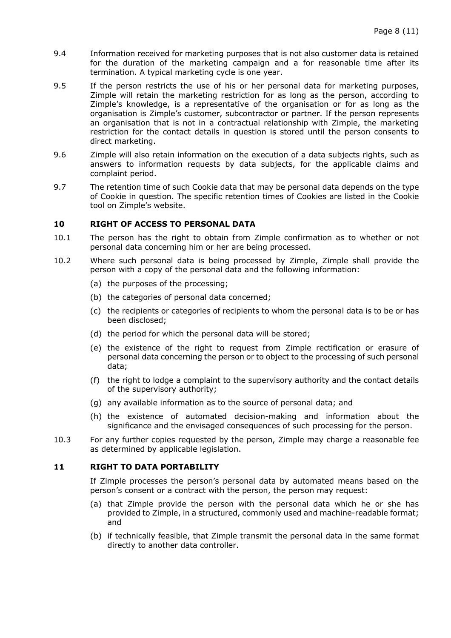- 9.4 Information received for marketing purposes that is not also customer data is retained for the duration of the marketing campaign and a for reasonable time after its termination. A typical marketing cycle is one year.
- 9.5 If the person restricts the use of his or her personal data for marketing purposes, Zimple will retain the marketing restriction for as long as the person, according to Zimple's knowledge, is a representative of the organisation or for as long as the organisation is Zimple's customer, subcontractor or partner. If the person represents an organisation that is not in a contractual relationship with Zimple, the marketing restriction for the contact details in question is stored until the person consents to direct marketing.
- 9.6 Zimple will also retain information on the execution of a data subjects rights, such as answers to information requests by data subjects, for the applicable claims and complaint period.
- 9.7 The retention time of such Cookie data that may be personal data depends on the type of Cookie in question. The specific retention times of Cookies are listed in the Cookie tool on Zimple's website.

# **10 RIGHT OF ACCESS TO PERSONAL DATA**

- 10.1 The person has the right to obtain from Zimple confirmation as to whether or not personal data concerning him or her are being processed.
- 10.2 Where such personal data is being processed by Zimple, Zimple shall provide the person with a copy of the personal data and the following information:
	- (a) the purposes of the processing;
	- (b) the categories of personal data concerned;
	- (c) the recipients or categories of recipients to whom the personal data is to be or has been disclosed;
	- (d) the period for which the personal data will be stored;
	- (e) the existence of the right to request from Zimple rectification or erasure of personal data concerning the person or to object to the processing of such personal data;
	- (f) the right to lodge a complaint to the supervisory authority and the contact details of the supervisory authority;
	- (g) any available information as to the source of personal data; and
	- (h) the existence of automated decision-making and information about the significance and the envisaged consequences of such processing for the person.
- 10.3 For any further copies requested by the person, Zimple may charge a reasonable fee as determined by applicable legislation.

#### **11 RIGHT TO DATA PORTABILITY**

If Zimple processes the person's personal data by automated means based on the person's consent or a contract with the person, the person may request:

- (a) that Zimple provide the person with the personal data which he or she has provided to Zimple, in a structured, commonly used and machine-readable format; and
- (b) if technically feasible, that Zimple transmit the personal data in the same format directly to another data controller.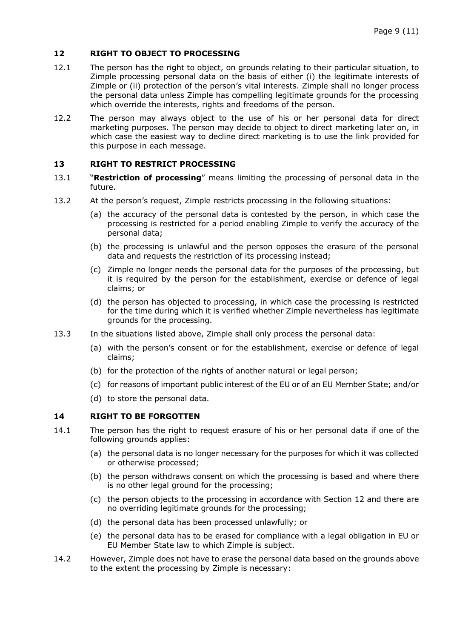# **12 RIGHT TO OBJECT TO PROCESSING**

- 12.1 The person has the right to object, on grounds relating to their particular situation, to Zimple processing personal data on the basis of either (i) the legitimate interests of Zimple or (ii) protection of the person's vital interests. Zimple shall no longer process the personal data unless Zimple has compelling legitimate grounds for the processing which override the interests, rights and freedoms of the person.
- 12.2 The person may always object to the use of his or her personal data for direct marketing purposes. The person may decide to object to direct marketing later on, in which case the easiest way to decline direct marketing is to use the link provided for this purpose in each message.

# **13 RIGHT TO RESTRICT PROCESSING**

- 13.1 "**Restriction of processing**" means limiting the processing of personal data in the future.
- 13.2 At the person's request, Zimple restricts processing in the following situations:
	- (a) the accuracy of the personal data is contested by the person, in which case the processing is restricted for a period enabling Zimple to verify the accuracy of the personal data;
	- (b) the processing is unlawful and the person opposes the erasure of the personal data and requests the restriction of its processing instead;
	- (c) Zimple no longer needs the personal data for the purposes of the processing, but it is required by the person for the establishment, exercise or defence of legal claims; or
	- (d) the person has objected to processing, in which case the processing is restricted for the time during which it is verified whether Zimple nevertheless has legitimate grounds for the processing.
- 13.3 In the situations listed above, Zimple shall only process the personal data:
	- (a) with the person's consent or for the establishment, exercise or defence of legal claims;
	- (b) for the protection of the rights of another natural or legal person;
	- (c) for reasons of important public interest of the EU or of an EU Member State; and/or
	- (d) to store the personal data.

# **14 RIGHT TO BE FORGOTTEN**

- 14.1 The person has the right to request erasure of his or her personal data if one of the following grounds applies:
	- (a) the personal data is no longer necessary for the purposes for which it was collected or otherwise processed;
	- (b) the person withdraws consent on which the processing is based and where there is no other legal ground for the processing;
	- (c) the person objects to the processing in accordance with Section 12 and there are no overriding legitimate grounds for the processing;
	- (d) the personal data has been processed unlawfully; or
	- (e) the personal data has to be erased for compliance with a legal obligation in EU or EU Member State law to which Zimple is subject.
- 14.2 However, Zimple does not have to erase the personal data based on the grounds above to the extent the processing by Zimple is necessary: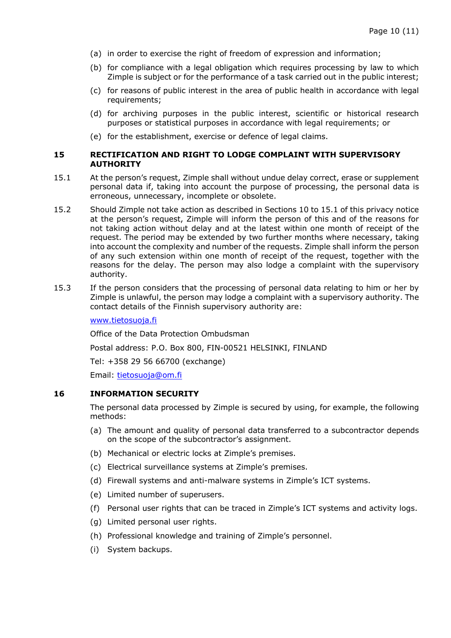- (a) in order to exercise the right of freedom of expression and information;
- (b) for compliance with a legal obligation which requires processing by law to which Zimple is subject or for the performance of a task carried out in the public interest;
- (c) for reasons of public interest in the area of public health in accordance with legal requirements;
- (d) for archiving purposes in the public interest, scientific or historical research purposes or statistical purposes in accordance with legal requirements; or
- (e) for the establishment, exercise or defence of legal claims.

#### **15 RECTIFICATION AND RIGHT TO LODGE COMPLAINT WITH SUPERVISORY AUTHORITY**

- 15.1 At the person's request, Zimple shall without undue delay correct, erase or supplement personal data if, taking into account the purpose of processing, the personal data is erroneous, unnecessary, incomplete or obsolete.
- 15.2 Should Zimple not take action as described in Sections 10 to 15.1 of this privacy notice at the person's request, Zimple will inform the person of this and of the reasons for not taking action without delay and at the latest within one month of receipt of the request. The period may be extended by two further months where necessary, taking into account the complexity and number of the requests. Zimple shall inform the person of any such extension within one month of receipt of the request, together with the reasons for the delay. The person may also lodge a complaint with the supervisory authority.
- 15.3 If the person considers that the processing of personal data relating to him or her by Zimple is unlawful, the person may lodge a complaint with a supervisory authority. The contact details of the Finnish supervisory authority are:

www.tietosuoja.fi

Office of the Data Protection Ombudsman

Postal address: P.O. Box 800, FIN-00521 HELSINKI, FINLAND

Tel: +358 29 56 66700 (exchange)

Email: tietosuoja@om.fi

# **16 INFORMATION SECURITY**

The personal data processed by Zimple is secured by using, for example, the following methods:

- (a) The amount and quality of personal data transferred to a subcontractor depends on the scope of the subcontractor's assignment.
- (b) Mechanical or electric locks at Zimple's premises.
- (c) Electrical surveillance systems at Zimple's premises.
- (d) Firewall systems and anti-malware systems in Zimple's ICT systems.
- (e) Limited number of superusers.
- (f) Personal user rights that can be traced in Zimple's ICT systems and activity logs.
- (g) Limited personal user rights.
- (h) Professional knowledge and training of Zimple's personnel.
- (i) System backups.